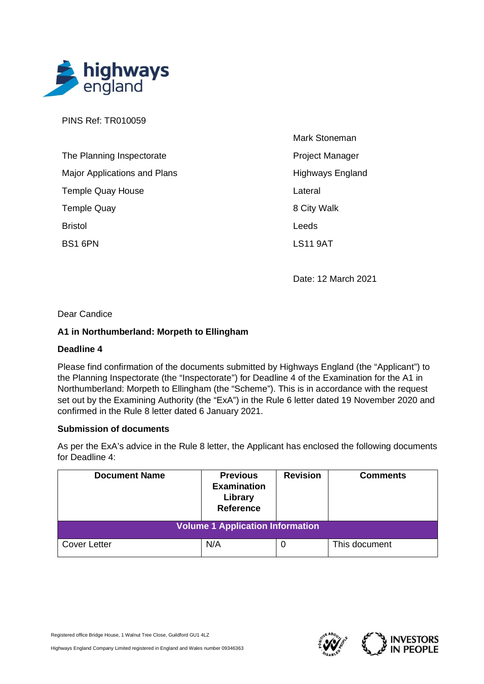

PINS Ref: TR010059

| The Planning Inspectorate           |
|-------------------------------------|
| <b>Major Applications and Plans</b> |
| <b>Temple Quay House</b>            |
| <b>Temple Quay</b>                  |
| <b>Bristol</b>                      |
| BS1 6PN                             |

Mark Stoneman Project Manager Highways England Lateral 8 City Walk Leeds LS11 9AT

Date: 12 March 2021

Dear Candice

## **A1 in Northumberland: Morpeth to Ellingham**

## **Deadline 4**

Please find confirmation of the documents submitted by Highways England (the "Applicant") to the Planning Inspectorate (the "Inspectorate") for Deadline 4 of the Examination for the A1 in Northumberland: Morpeth to Ellingham (the "Scheme"). This is in accordance with the request set out by the Examining Authority (the "ExA") in the Rule 6 letter dated 19 November 2020 and confirmed in the Rule 8 letter dated 6 January 2021.

## **Submission of documents**

As per the ExA's advice in the Rule 8 letter, the Applicant has enclosed the following documents for Deadline 4:

| <b>Document Name</b>                    | <b>Previous</b><br><b>Examination</b><br>Library<br><b>Reference</b> | <b>Revision</b> | <b>Comments</b> |  |
|-----------------------------------------|----------------------------------------------------------------------|-----------------|-----------------|--|
| <b>Volume 1 Application Information</b> |                                                                      |                 |                 |  |
| <b>Cover Letter</b>                     | N/A                                                                  | 0               | This document   |  |

Registered office Bridge House, 1 Walnut Tree Close, Guildford GU1 4LZ

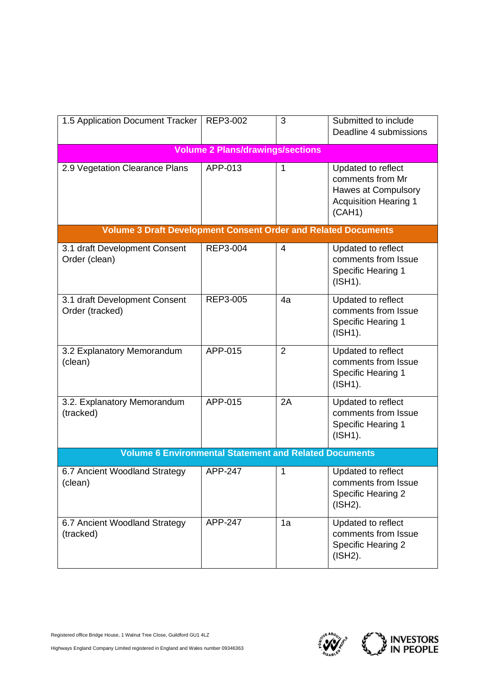| 1.5 Application Document Tracker                                      | REP3-002                                | 3              | Submitted to include<br>Deadline 4 submissions                                                          |  |
|-----------------------------------------------------------------------|-----------------------------------------|----------------|---------------------------------------------------------------------------------------------------------|--|
|                                                                       | <b>Volume 2 Plans/drawings/sections</b> |                |                                                                                                         |  |
| 2.9 Vegetation Clearance Plans                                        | APP-013                                 | 1              | Updated to reflect<br>comments from Mr<br>Hawes at Compulsory<br><b>Acquisition Hearing 1</b><br>(CAH1) |  |
| <b>Volume 3 Draft Development Consent Order and Related Documents</b> |                                         |                |                                                                                                         |  |
| 3.1 draft Development Consent<br>Order (clean)                        | REP3-004                                | $\overline{4}$ | Updated to reflect<br>comments from Issue<br><b>Specific Hearing 1</b><br>(ISH1).                       |  |
| 3.1 draft Development Consent<br>Order (tracked)                      | <b>REP3-005</b>                         | 4a             | Updated to reflect<br>comments from Issue<br><b>Specific Hearing 1</b><br>(ISH1).                       |  |
| 3.2 Explanatory Memorandum<br>(clean)                                 | APP-015                                 | $\overline{2}$ | Updated to reflect<br>comments from Issue<br><b>Specific Hearing 1</b><br>(ISH1).                       |  |
| 3.2. Explanatory Memorandum<br>(tracked)                              | APP-015                                 | 2A             | Updated to reflect<br>comments from Issue<br><b>Specific Hearing 1</b><br>(ISH1).                       |  |
| <b>Volume 6 Environmental Statement and Related Documents</b>         |                                         |                |                                                                                                         |  |
| 6.7 Ancient Woodland Strategy<br>(clean)                              | APP-247                                 | 1              | Updated to reflect<br>comments from Issue<br><b>Specific Hearing 2</b><br>$(ISH2)$ .                    |  |
| 6.7 Ancient Woodland Strategy<br>(tracked)                            | APP-247                                 | 1a             | Updated to reflect<br>comments from Issue<br><b>Specific Hearing 2</b><br>(ISH2).                       |  |



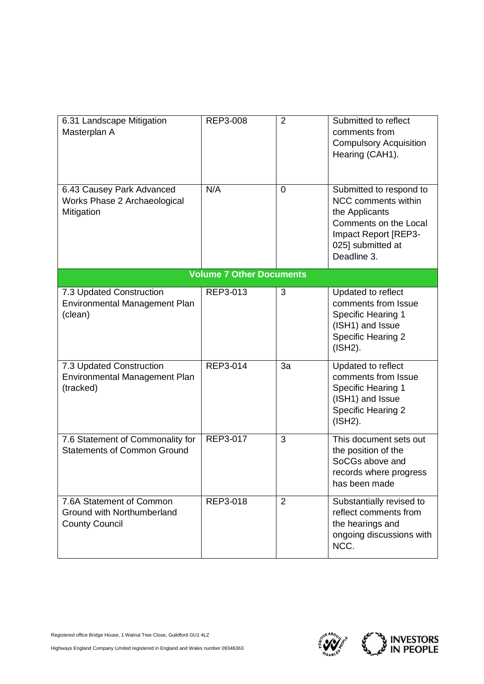| 6.31 Landscape Mitigation<br>Masterplan A                                       | REP3-008                        | $\overline{2}$ | Submitted to reflect<br>comments from<br><b>Compulsory Acquisition</b><br>Hearing (CAH1).                                                             |
|---------------------------------------------------------------------------------|---------------------------------|----------------|-------------------------------------------------------------------------------------------------------------------------------------------------------|
| 6.43 Causey Park Advanced<br>Works Phase 2 Archaeological<br>Mitigation         | N/A                             | $\overline{0}$ | Submitted to respond to<br>NCC comments within<br>the Applicants<br>Comments on the Local<br>Impact Report [REP3-<br>025] submitted at<br>Deadline 3. |
|                                                                                 | <b>Volume 7 Other Documents</b> |                |                                                                                                                                                       |
| 7.3 Updated Construction<br>Environmental Management Plan<br>(clean)            | REP3-013                        | 3              | Updated to reflect<br>comments from Issue<br><b>Specific Hearing 1</b><br>(ISH1) and Issue<br><b>Specific Hearing 2</b><br>(ISH2).                    |
| 7.3 Updated Construction<br>Environmental Management Plan<br>(tracked)          | REP3-014                        | 3a             | Updated to reflect<br>comments from Issue<br><b>Specific Hearing 1</b><br>(ISH1) and Issue<br><b>Specific Hearing 2</b><br>(ISH2).                    |
| 7.6 Statement of Commonality for<br><b>Statements of Common Ground</b>          | REP3-017                        | 3              | This document sets out<br>the position of the<br>SoCGs above and<br>records where progress<br>has been made                                           |
| 7.6A Statement of Common<br>Ground with Northumberland<br><b>County Council</b> | REP3-018                        | $\overline{2}$ | Substantially revised to<br>reflect comments from<br>the hearings and<br>ongoing discussions with<br>NCC.                                             |



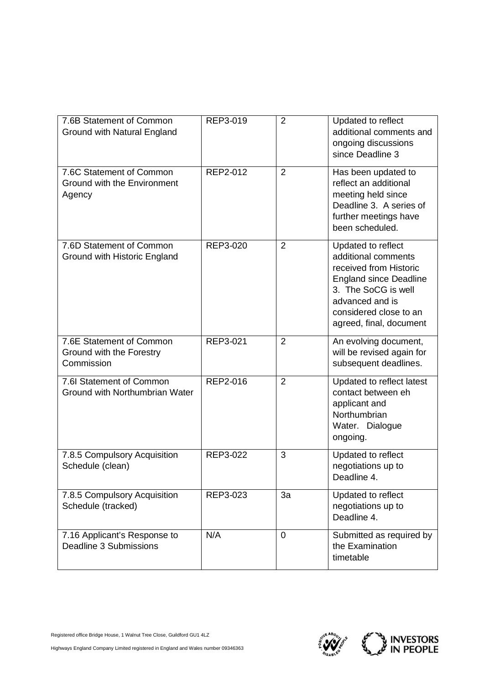| 7.6B Statement of Common                                           | REP3-019 | $\overline{2}$ | Updated to reflect                                                                                                                                                                                  |
|--------------------------------------------------------------------|----------|----------------|-----------------------------------------------------------------------------------------------------------------------------------------------------------------------------------------------------|
| Ground with Natural England                                        |          |                | additional comments and<br>ongoing discussions<br>since Deadline 3                                                                                                                                  |
| 7.6C Statement of Common<br>Ground with the Environment<br>Agency  | REP2-012 | $\overline{2}$ | Has been updated to<br>reflect an additional<br>meeting held since<br>Deadline 3. A series of<br>further meetings have<br>been scheduled.                                                           |
| 7.6D Statement of Common<br>Ground with Historic England           | REP3-020 | $\overline{2}$ | Updated to reflect<br>additional comments<br>received from Historic<br><b>England since Deadline</b><br>3. The SoCG is well<br>advanced and is<br>considered close to an<br>agreed, final, document |
| 7.6E Statement of Common<br>Ground with the Forestry<br>Commission | REP3-021 | $\overline{2}$ | An evolving document,<br>will be revised again for<br>subsequent deadlines.                                                                                                                         |
| 7.6I Statement of Common<br>Ground with Northumbrian Water         | REP2-016 | $\overline{2}$ | Updated to reflect latest<br>contact between eh<br>applicant and<br>Northumbrian<br>Water. Dialogue<br>ongoing.                                                                                     |
| 7.8.5 Compulsory Acquisition<br>Schedule (clean)                   | REP3-022 | 3              | Updated to reflect<br>negotiations up to<br>Deadline 4.                                                                                                                                             |
| 7.8.5 Compulsory Acquisition<br>Schedule (tracked)                 | REP3-023 | 3a             | Updated to reflect<br>negotiations up to<br>Deadline 4.                                                                                                                                             |
| 7.16 Applicant's Response to<br>Deadline 3 Submissions             | N/A      | $\overline{0}$ | Submitted as required by<br>the Examination<br>timetable                                                                                                                                            |



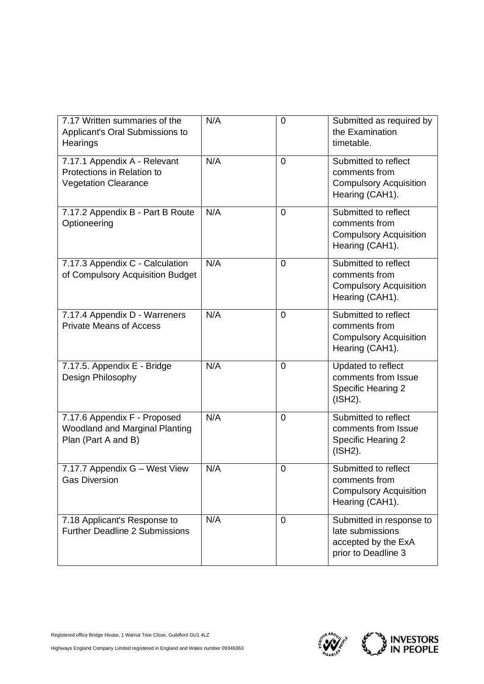| 7.17 Written summaries of the<br>Applicant's Oral Submissions to<br>Hearings              | N/A | $\mathbf 0$    | Submitted as required by<br>the Examination<br>timetable.                                  |
|-------------------------------------------------------------------------------------------|-----|----------------|--------------------------------------------------------------------------------------------|
| 7.17.1 Appendix A - Relevant<br>Protections in Relation to<br><b>Vegetation Clearance</b> | N/A | $\overline{0}$ | Submitted to reflect<br>comments from<br><b>Compulsory Acquisition</b><br>Hearing (CAH1).  |
| 7.17.2 Appendix B - Part B Route<br>Optioneering                                          | N/A | $\mathbf 0$    | Submitted to reflect<br>comments from<br><b>Compulsory Acquisition</b><br>Hearing (CAH1).  |
| 7.17.3 Appendix C - Calculation<br>of Compulsory Acquisition Budget                       | N/A | $\overline{0}$ | Submitted to reflect<br>comments from<br><b>Compulsory Acquisition</b><br>Hearing (CAH1).  |
| 7.17.4 Appendix D - Warreners<br><b>Private Means of Access</b>                           | N/A | 0              | Submitted to reflect<br>comments from<br><b>Compulsory Acquisition</b><br>Hearing (CAH1).  |
| 7.17.5. Appendix E - Bridge<br>Design Philosophy                                          | N/A | 0              | Updated to reflect<br>comments from Issue<br><b>Specific Hearing 2</b><br>(ISH2).          |
| 7.17.6 Appendix F - Proposed<br>Woodland and Marginal Planting<br>Plan (Part A and B)     | N/A | $\overline{0}$ | Submitted to reflect<br>comments from Issue<br><b>Specific Hearing 2</b><br>(ISH2).        |
| 7.17.7 Appendix G - West View<br><b>Gas Diversion</b>                                     | N/A | 0              | Submitted to reflect<br>comments from<br><b>Compulsory Acquisition</b><br>Hearing (CAH1).  |
| 7.18 Applicant's Response to<br><b>Further Deadline 2 Submissions</b>                     | N/A | $\overline{0}$ | Submitted in response to<br>late submissions<br>accepted by the ExA<br>prior to Deadline 3 |



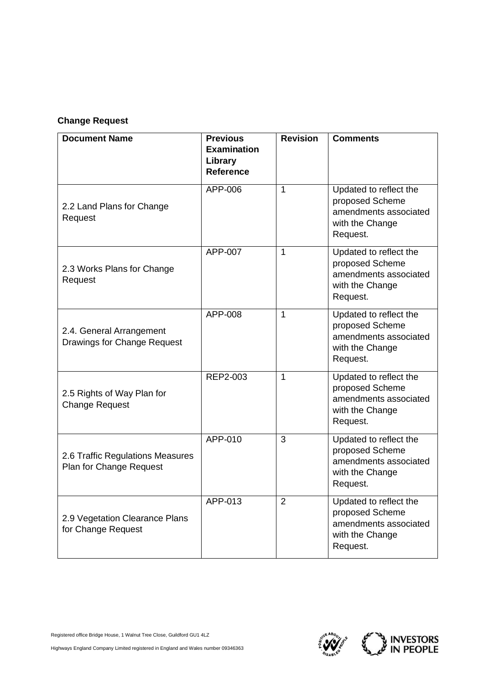## **Change Request**

| <b>Document Name</b>                                        | <b>Previous</b><br><b>Examination</b><br>Library<br><b>Reference</b> | <b>Revision</b> | <b>Comments</b>                                                                                   |
|-------------------------------------------------------------|----------------------------------------------------------------------|-----------------|---------------------------------------------------------------------------------------------------|
| 2.2 Land Plans for Change<br>Request                        | APP-006                                                              | $\mathbf{1}$    | Updated to reflect the<br>proposed Scheme<br>amendments associated<br>with the Change<br>Request. |
| 2.3 Works Plans for Change<br>Request                       | APP-007                                                              | $\mathbf{1}$    | Updated to reflect the<br>proposed Scheme<br>amendments associated<br>with the Change<br>Request. |
| 2.4. General Arrangement<br>Drawings for Change Request     | APP-008                                                              | $\mathbf{1}$    | Updated to reflect the<br>proposed Scheme<br>amendments associated<br>with the Change<br>Request. |
| 2.5 Rights of Way Plan for<br><b>Change Request</b>         | REP2-003                                                             | 1               | Updated to reflect the<br>proposed Scheme<br>amendments associated<br>with the Change<br>Request. |
| 2.6 Traffic Regulations Measures<br>Plan for Change Request | APP-010                                                              | 3               | Updated to reflect the<br>proposed Scheme<br>amendments associated<br>with the Change<br>Request. |
| 2.9 Vegetation Clearance Plans<br>for Change Request        | APP-013                                                              | $\overline{2}$  | Updated to reflect the<br>proposed Scheme<br>amendments associated<br>with the Change<br>Request. |



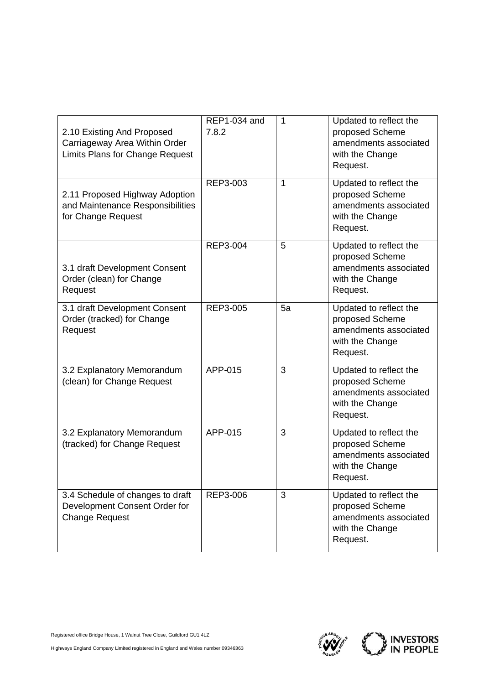| 2.10 Existing And Proposed<br>Carriageway Area Within Order<br><b>Limits Plans for Change Request</b> | REP1-034 and<br>7.8.2 | $\mathbf{1}$ | Updated to reflect the<br>proposed Scheme<br>amendments associated<br>with the Change<br>Request. |
|-------------------------------------------------------------------------------------------------------|-----------------------|--------------|---------------------------------------------------------------------------------------------------|
| 2.11 Proposed Highway Adoption<br>and Maintenance Responsibilities<br>for Change Request              | REP3-003              | 1            | Updated to reflect the<br>proposed Scheme<br>amendments associated<br>with the Change<br>Request. |
| 3.1 draft Development Consent<br>Order (clean) for Change<br>Request                                  | <b>REP3-004</b>       | 5            | Updated to reflect the<br>proposed Scheme<br>amendments associated<br>with the Change<br>Request. |
| 3.1 draft Development Consent<br>Order (tracked) for Change<br>Request                                | REP3-005              | 5a           | Updated to reflect the<br>proposed Scheme<br>amendments associated<br>with the Change<br>Request. |
| 3.2 Explanatory Memorandum<br>(clean) for Change Request                                              | APP-015               | 3            | Updated to reflect the<br>proposed Scheme<br>amendments associated<br>with the Change<br>Request. |
| 3.2 Explanatory Memorandum<br>(tracked) for Change Request                                            | APP-015               | 3            | Updated to reflect the<br>proposed Scheme<br>amendments associated<br>with the Change<br>Request. |
| 3.4 Schedule of changes to draft<br>Development Consent Order for<br><b>Change Request</b>            | REP3-006              | 3            | Updated to reflect the<br>proposed Scheme<br>amendments associated<br>with the Change<br>Request. |



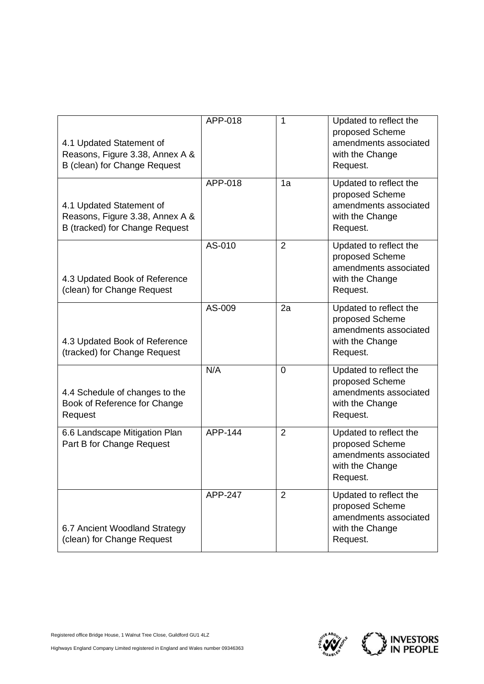| 4.1 Updated Statement of<br>Reasons, Figure 3.38, Annex A &<br>B (clean) for Change Request   | APP-018 | 1              | Updated to reflect the<br>proposed Scheme<br>amendments associated<br>with the Change<br>Request. |
|-----------------------------------------------------------------------------------------------|---------|----------------|---------------------------------------------------------------------------------------------------|
| 4.1 Updated Statement of<br>Reasons, Figure 3.38, Annex A &<br>B (tracked) for Change Request | APP-018 | 1a             | Updated to reflect the<br>proposed Scheme<br>amendments associated<br>with the Change<br>Request. |
| 4.3 Updated Book of Reference<br>(clean) for Change Request                                   | AS-010  | $\overline{2}$ | Updated to reflect the<br>proposed Scheme<br>amendments associated<br>with the Change<br>Request. |
| 4.3 Updated Book of Reference<br>(tracked) for Change Request                                 | AS-009  | 2a             | Updated to reflect the<br>proposed Scheme<br>amendments associated<br>with the Change<br>Request. |
| 4.4 Schedule of changes to the<br>Book of Reference for Change<br>Request                     | N/A     | $\overline{0}$ | Updated to reflect the<br>proposed Scheme<br>amendments associated<br>with the Change<br>Request. |
| 6.6 Landscape Mitigation Plan<br>Part B for Change Request                                    | APP-144 | $\overline{2}$ | Updated to reflect the<br>proposed Scheme<br>amendments associated<br>with the Change<br>Request. |
| 6.7 Ancient Woodland Strategy<br>(clean) for Change Request                                   | APP-247 | 2              | Updated to reflect the<br>proposed Scheme<br>amendments associated<br>with the Change<br>Request. |



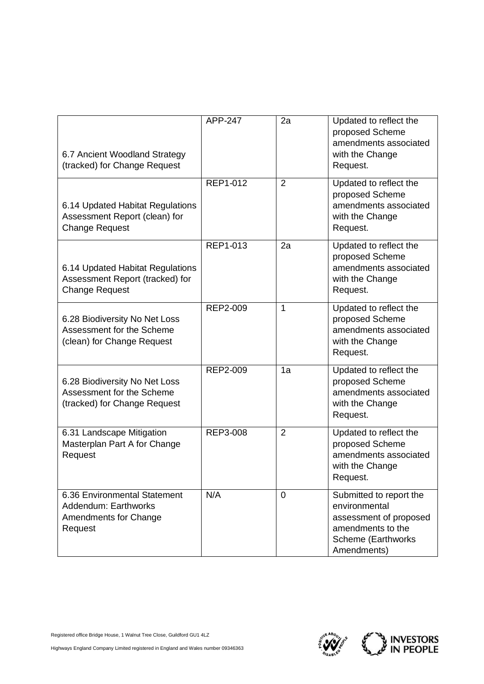| 6.7 Ancient Woodland Strategy<br>(tracked) for Change Request                                | APP-247  | 2a             | Updated to reflect the<br>proposed Scheme<br>amendments associated<br>with the Change<br>Request.                            |
|----------------------------------------------------------------------------------------------|----------|----------------|------------------------------------------------------------------------------------------------------------------------------|
| 6.14 Updated Habitat Regulations<br>Assessment Report (clean) for<br><b>Change Request</b>   | REP1-012 | $\overline{2}$ | Updated to reflect the<br>proposed Scheme<br>amendments associated<br>with the Change<br>Request.                            |
| 6.14 Updated Habitat Regulations<br>Assessment Report (tracked) for<br><b>Change Request</b> | REP1-013 | 2a             | Updated to reflect the<br>proposed Scheme<br>amendments associated<br>with the Change<br>Request.                            |
| 6.28 Biodiversity No Net Loss<br>Assessment for the Scheme<br>(clean) for Change Request     | REP2-009 | 1              | Updated to reflect the<br>proposed Scheme<br>amendments associated<br>with the Change<br>Request.                            |
| 6.28 Biodiversity No Net Loss<br>Assessment for the Scheme<br>(tracked) for Change Request   | REP2-009 | 1a             | Updated to reflect the<br>proposed Scheme<br>amendments associated<br>with the Change<br>Request.                            |
| 6.31 Landscape Mitigation<br>Masterplan Part A for Change<br>Request                         | REP3-008 | $\overline{2}$ | Updated to reflect the<br>proposed Scheme<br>amendments associated<br>with the Change<br>Request.                            |
| 6.36 Environmental Statement<br>Addendum: Earthworks<br>Amendments for Change<br>Request     | N/A      | 0              | Submitted to report the<br>environmental<br>assessment of proposed<br>amendments to the<br>Scheme (Earthworks<br>Amendments) |



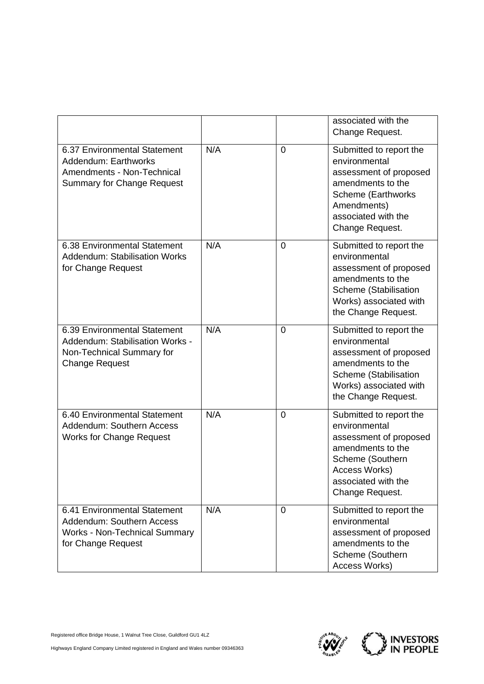|                                                                                                                         |     |                | associated with the<br>Change Request.                                                                                                                                 |
|-------------------------------------------------------------------------------------------------------------------------|-----|----------------|------------------------------------------------------------------------------------------------------------------------------------------------------------------------|
| 6.37 Environmental Statement<br>Addendum: Earthworks<br>Amendments - Non-Technical<br><b>Summary for Change Request</b> | N/A | 0              | Submitted to report the<br>environmental<br>assessment of proposed<br>amendments to the<br>Scheme (Earthworks<br>Amendments)<br>associated with the<br>Change Request. |
| 6.38 Environmental Statement<br><b>Addendum: Stabilisation Works</b><br>for Change Request                              | N/A | $\overline{0}$ | Submitted to report the<br>environmental<br>assessment of proposed<br>amendments to the<br>Scheme (Stabilisation<br>Works) associated with<br>the Change Request.      |
| 6.39 Environmental Statement<br>Addendum: Stabilisation Works -<br>Non-Technical Summary for<br><b>Change Request</b>   | N/A | 0              | Submitted to report the<br>environmental<br>assessment of proposed<br>amendments to the<br>Scheme (Stabilisation<br>Works) associated with<br>the Change Request.      |
| 6.40 Environmental Statement<br>Addendum: Southern Access<br><b>Works for Change Request</b>                            | N/A | $\overline{0}$ | Submitted to report the<br>environmental<br>assessment of proposed<br>amendments to the<br>Scheme (Southern<br>Access Works)<br>associated with the<br>Change Request. |
| 6.41 Environmental Statement<br>Addendum: Southern Access<br><b>Works - Non-Technical Summary</b><br>for Change Request | N/A | 0              | Submitted to report the<br>environmental<br>assessment of proposed<br>amendments to the<br>Scheme (Southern<br>Access Works)                                           |



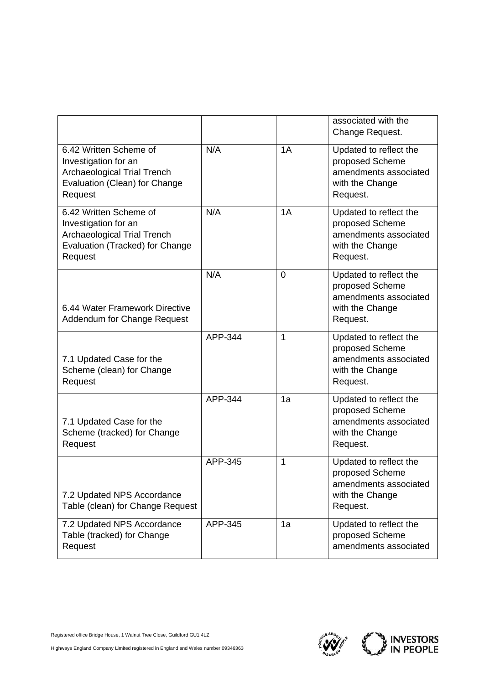|                                                                                                                                    |         |    | associated with the<br>Change Request.                                                            |
|------------------------------------------------------------------------------------------------------------------------------------|---------|----|---------------------------------------------------------------------------------------------------|
| 6.42 Written Scheme of<br>Investigation for an<br><b>Archaeological Trial Trench</b><br>Evaluation (Clean) for Change<br>Request   | N/A     | 1A | Updated to reflect the<br>proposed Scheme<br>amendments associated<br>with the Change<br>Request. |
| 6.42 Written Scheme of<br>Investigation for an<br><b>Archaeological Trial Trench</b><br>Evaluation (Tracked) for Change<br>Request | N/A     | 1A | Updated to reflect the<br>proposed Scheme<br>amendments associated<br>with the Change<br>Request. |
| 6.44 Water Framework Directive<br>Addendum for Change Request                                                                      | N/A     | 0  | Updated to reflect the<br>proposed Scheme<br>amendments associated<br>with the Change<br>Request. |
| 7.1 Updated Case for the<br>Scheme (clean) for Change<br>Request                                                                   | APP-344 | 1  | Updated to reflect the<br>proposed Scheme<br>amendments associated<br>with the Change<br>Request. |
| 7.1 Updated Case for the<br>Scheme (tracked) for Change<br>Request                                                                 | APP-344 | 1a | Updated to reflect the<br>proposed Scheme<br>amendments associated<br>with the Change<br>Request. |
| 7.2 Updated NPS Accordance<br>Table (clean) for Change Request                                                                     | APP-345 | 1  | Updated to reflect the<br>proposed Scheme<br>amendments associated<br>with the Change<br>Request. |
| 7.2 Updated NPS Accordance<br>Table (tracked) for Change<br>Request                                                                | APP-345 | 1a | Updated to reflect the<br>proposed Scheme<br>amendments associated                                |